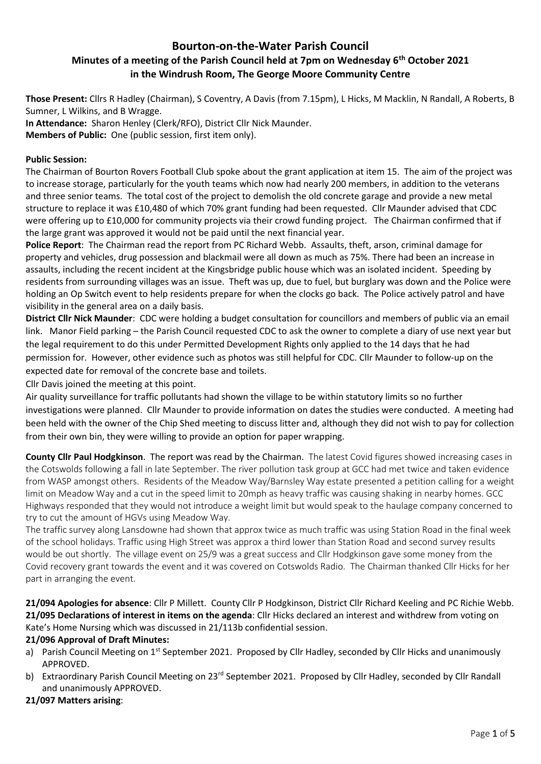# **Bourton-on-the-Water Parish Council Minutes of a meeting of the Parish Council held at 7pm on Wednesday 6th October 2021 in the Windrush Room, The George Moore Community Centre**

**Those Present:** Cllrs R Hadley (Chairman), S Coventry, A Davis (from 7.15pm), L Hicks, M Macklin, N Randall, A Roberts, B

Sumner, L Wilkins, and B Wragge. **In Attendance:** Sharon Henley (Clerk/RFO), District Cllr Nick Maunder. **Members of Public:** One (public session, first item only).

## **Public Session:**

The Chairman of Bourton Rovers Football Club spoke about the grant application at item 15. The aim of the project was to increase storage, particularly for the youth teams which now had nearly 200 members, in addition to the veterans and three senior teams. The total cost of the project to demolish the old concrete garage and provide a new metal structure to replace it was £10,480 of which 70% grant funding had been requested. Cllr Maunder advised that CDC were offering up to £10,000 for community projects via their crowd funding project. The Chairman confirmed that if the large grant was approved it would not be paid until the next financial year.

**Police Report**: The Chairman read the report from PC Richard Webb. Assaults, theft, arson, criminal damage for property and vehicles, drug possession and blackmail were all down as much as 75%. There had been an increase in assaults, including the recent incident at the Kingsbridge public house which was an isolated incident. Speeding by residents from surrounding villages was an issue. Theft was up, due to fuel, but burglary was down and the Police were holding an Op Switch event to help residents prepare for when the clocks go back. The Police actively patrol and have visibility in the general area on a daily basis.

**District Cllr Nick Maunder**: CDC were holding a budget consultation for councillors and members of public via an email link. Manor Field parking – the Parish Council requested CDC to ask the owner to complete a diary of use next year but the legal requirement to do this under Permitted Development Rights only applied to the 14 days that he had permission for. However, other evidence such as photos was still helpful for CDC. Cllr Maunder to follow-up on the expected date for removal of the concrete base and toilets.

Cllr Davis joined the meeting at this point.

Air quality surveillance for traffic pollutants had shown the village to be within statutory limits so no further investigations were planned. Cllr Maunder to provide information on dates the studies were conducted. A meeting had been held with the owner of the Chip Shed meeting to discuss litter and, although they did not wish to pay for collection from their own bin, they were willing to provide an option for paper wrapping.

**County Cllr Paul Hodgkinson**. The report was read by the Chairman. The latest Covid figures showed increasing cases in the Cotswolds following a fall in late September. The river pollution task group at GCC had met twice and taken evidence from WASP amongst others. Residents of the Meadow Way/Barnsley Way estate presented a petition calling for a weight limit on Meadow Way and a cut in the speed limit to 20mph as heavy traffic was causing shaking in nearby homes. GCC Highways responded that they would not introduce a weight limit but would speak to the haulage company concerned to try to cut the amount of HGVs using Meadow Way.

The traffic survey along Lansdowne had shown that approx twice as much traffic was using Station Road in the final week of the school holidays. Traffic using High Street was approx a third lower than Station Road and second survey results would be out shortly. The village event on 25/9 was a great success and Cllr Hodgkinson gave some money from the Covid recovery grant towards the event and it was covered on Cotswolds Radio. The Chairman thanked Cllr Hicks for her part in arranging the event.

**21/094 Apologies for absence**: Cllr P Millett. County Cllr P Hodgkinson, District Cllr Richard Keeling and PC Richie Webb. **21/095 Declarations of interest in items on the agenda**: Cllr Hicks declared an interest and withdrew from voting on Kate's Home Nursing which was discussed in 21/113b confidential session.

### **21/096 Approval of Draft Minutes:**

- a) Parish Council Meeting on 1<sup>st</sup> September 2021. Proposed by Cllr Hadley, seconded by Cllr Hicks and unanimously APPROVED.
- b) Extraordinary Parish Council Meeting on 23<sup>rd</sup> September 2021. Proposed by Cllr Hadley, seconded by Cllr Randall and unanimously APPROVED.

# **21/097 Matters arising**: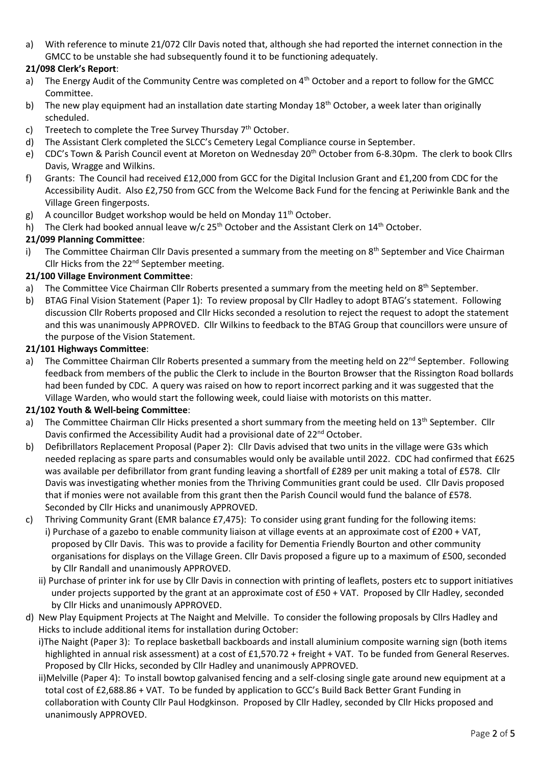a) With reference to minute 21/072 Cllr Davis noted that, although she had reported the internet connection in the GMCC to be unstable she had subsequently found it to be functioning adequately.

## **21/098 Clerk's Report**:

- a) The Energy Audit of the Community Centre was completed on 4<sup>th</sup> October and a report to follow for the GMCC Committee.
- b) The new play equipment had an installation date starting Monday  $18<sup>th</sup>$  October, a week later than originally scheduled.
- c) Treetech to complete the Tree Survey Thursday  $7<sup>th</sup>$  October.
- d) The Assistant Clerk completed the SLCC's Cemetery Legal Compliance course in September.
- e) CDC's Town & Parish Council event at Moreton on Wednesday 20<sup>th</sup> October from 6-8.30pm. The clerk to book Cllrs Davis, Wragge and Wilkins.
- f) Grants: The Council had received £12,000 from GCC for the Digital Inclusion Grant and £1,200 from CDC for the Accessibility Audit. Also £2,750 from GCC from the Welcome Back Fund for the fencing at Periwinkle Bank and the Village Green fingerposts.
- g) A councillor Budget workshop would be held on Monday  $11<sup>th</sup>$  October.
- h) The Clerk had booked annual leave w/c  $25<sup>th</sup>$  October and the Assistant Clerk on  $14<sup>th</sup>$  October.

## **21/099 Planning Committee**:

i) The Committee Chairman Cllr Davis presented a summary from the meeting on 8<sup>th</sup> September and Vice Chairman Cllr Hicks from the 22<sup>nd</sup> September meeting.

## **21/100 Village Environment Committee**:

- a) The Committee Vice Chairman Cllr Roberts presented a summary from the meeting held on 8<sup>th</sup> September.
- b) BTAG Final Vision Statement (Paper 1): To review proposal by Cllr Hadley to adopt BTAG's statement. Following discussion Cllr Roberts proposed and Cllr Hicks seconded a resolution to reject the request to adopt the statement and this was unanimously APPROVED. Cllr Wilkins to feedback to the BTAG Group that councillors were unsure of the purpose of the Vision Statement.

#### **21/101 Highways Committee**:

a) The Committee Chairman Cllr Roberts presented a summary from the meeting held on 22<sup>nd</sup> September. Following feedback from members of the public the Clerk to include in the Bourton Browser that the Rissington Road bollards had been funded by CDC. A query was raised on how to report incorrect parking and it was suggested that the Village Warden, who would start the following week, could liaise with motorists on this matter.

### **21/102 Youth & Well-being Committee**:

- a) The Committee Chairman Cllr Hicks presented a short summary from the meeting held on 13<sup>th</sup> September. Cllr Davis confirmed the Accessibility Audit had a provisional date of 22<sup>nd</sup> October.
- b) Defibrillators Replacement Proposal (Paper 2): Cllr Davis advised that two units in the village were G3s which needed replacing as spare parts and consumables would only be available until 2022. CDC had confirmed that £625 was available per defibrillator from grant funding leaving a shortfall of £289 per unit making a total of £578. Cllr Davis was investigating whether monies from the Thriving Communities grant could be used. Cllr Davis proposed that if monies were not available from this grant then the Parish Council would fund the balance of £578. Seconded by Cllr Hicks and unanimously APPROVED.
- c) Thriving Community Grant (EMR balance £7,475): To consider using grant funding for the following items: i) Purchase of a gazebo to enable community liaison at village events at an approximate cost of £200 + VAT, proposed by Cllr Davis. This was to provide a facility for Dementia Friendly Bourton and other community organisations for displays on the Village Green. Cllr Davis proposed a figure up to a maximum of £500, seconded by Cllr Randall and unanimously APPROVED.
	- ii) Purchase of printer ink for use by Cllr Davis in connection with printing of leaflets, posters etc to support initiatives under projects supported by the grant at an approximate cost of £50 + VAT. Proposed by Cllr Hadley, seconded by Cllr Hicks and unanimously APPROVED.
- d) New Play Equipment Projects at The Naight and Melville. To consider the following proposals by Cllrs Hadley and Hicks to include additional items for installation during October:
	- i)The Naight (Paper 3): To replace basketball backboards and install aluminium composite warning sign (both items highlighted in annual risk assessment) at a cost of £1,570.72 + freight + VAT. To be funded from General Reserves. Proposed by Cllr Hicks, seconded by Cllr Hadley and unanimously APPROVED.
	- ii)Melville (Paper 4): To install bowtop galvanised fencing and a self-closing single gate around new equipment at a total cost of £2,688.86 + VAT. To be funded by application to GCC's Build Back Better Grant Funding in collaboration with County Cllr Paul Hodgkinson. Proposed by Cllr Hadley, seconded by Cllr Hicks proposed and unanimously APPROVED.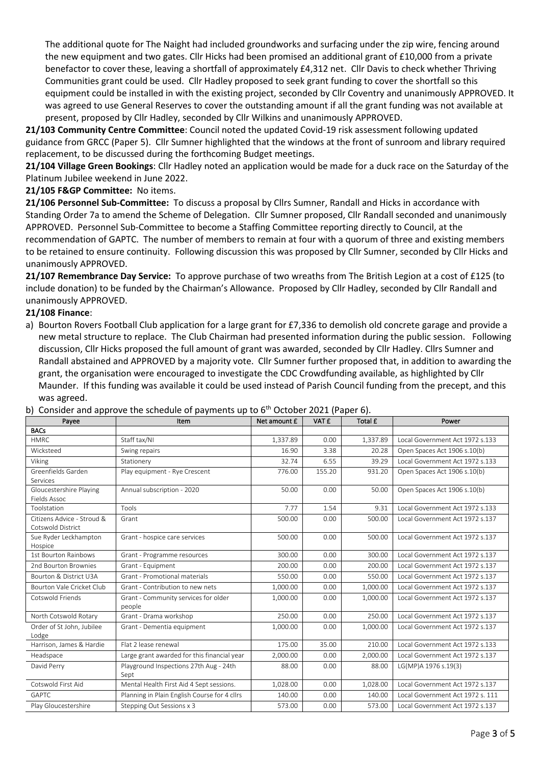The additional quote for The Naight had included groundworks and surfacing under the zip wire, fencing around the new equipment and two gates. Cllr Hicks had been promised an additional grant of £10,000 from a private benefactor to cover these, leaving a shortfall of approximately £4,312 net. Cllr Davis to check whether Thriving Communities grant could be used. Cllr Hadley proposed to seek grant funding to cover the shortfall so this equipment could be installed in with the existing project, seconded by Cllr Coventry and unanimously APPROVED. It was agreed to use General Reserves to cover the outstanding amount if all the grant funding was not available at present, proposed by Cllr Hadley, seconded by Cllr Wilkins and unanimously APPROVED.

**21/103 Community Centre Committee**: Council noted the updated Covid-19 risk assessment following updated guidance from GRCC (Paper 5). Cllr Sumner highlighted that the windows at the front of sunroom and library required replacement, to be discussed during the forthcoming Budget meetings.

**21/104 Village Green Bookings**: Cllr Hadley noted an application would be made for a duck race on the Saturday of the Platinum Jubilee weekend in June 2022.

### **21/105 F&GP Committee:** No items.

**21/106 Personnel Sub-Committee:** To discuss a proposal by Cllrs Sumner, Randall and Hicks in accordance with Standing Order 7a to amend the Scheme of Delegation. Cllr Sumner proposed, Cllr Randall seconded and unanimously APPROVED. Personnel Sub-Committee to become a Staffing Committee reporting directly to Council, at the recommendation of GAPTC. The number of members to remain at four with a quorum of three and existing members to be retained to ensure continuity. Following discussion this was proposed by Cllr Sumner, seconded by Cllr Hicks and unanimously APPROVED.

**21/107 Remembrance Day Service:** To approve purchase of two wreaths from The British Legion at a cost of £125 (to include donation) to be funded by the Chairman's Allowance. Proposed by Cllr Hadley, seconded by Cllr Randall and unanimously APPROVED.

### **21/108 Finance**:

a) Bourton Rovers Football Club application for a large grant for £7,336 to demolish old concrete garage and provide a new metal structure to replace. The Club Chairman had presented information during the public session. Following discussion, Cllr Hicks proposed the full amount of grant was awarded, seconded by Cllr Hadley. Cllrs Sumner and Randall abstained and APPROVED by a majority vote. Cllr Sumner further proposed that, in addition to awarding the grant, the organisation were encouraged to investigate the CDC Crowdfunding available, as highlighted by Cllr Maunder. If this funding was available it could be used instead of Parish Council funding from the precept, and this was agreed.

|  |  | b) Consider and approve the schedule of payments up to 6 <sup>th</sup> October 2021 (Paper 6). |  |
|--|--|------------------------------------------------------------------------------------------------|--|
|--|--|------------------------------------------------------------------------------------------------|--|

| Payee                                           | Item                                           | Net amount £ | VAT £  | Total £  | Power                            |
|-------------------------------------------------|------------------------------------------------|--------------|--------|----------|----------------------------------|
| <b>BACs</b>                                     |                                                |              |        |          |                                  |
| <b>HMRC</b>                                     | Staff tax/NI                                   | 1,337.89     | 0.00   | 1,337.89 | Local Government Act 1972 s.133  |
| Wicksteed                                       | Swing repairs                                  | 16.90        | 3.38   | 20.28    | Open Spaces Act 1906 s.10(b)     |
| Viking                                          | Stationery                                     | 32.74        | 6.55   | 39.29    | Local Government Act 1972 s.133  |
| Greenfields Garden<br>Services                  | Play equipment - Rye Crescent                  | 776.00       | 155.20 | 931.20   | Open Spaces Act 1906 s.10(b)     |
| Gloucestershire Playing<br>Fields Assoc         | Annual subscription - 2020                     | 50.00        | 0.00   | 50.00    | Open Spaces Act 1906 s.10(b)     |
| Toolstation                                     | Tools                                          | 7.77         | 1.54   | 9.31     | Local Government Act 1972 s.133  |
| Citizens Advice - Stroud &<br>Cotswold District | Grant                                          | 500.00       | 0.00   | 500.00   | Local Government Act 1972 s.137  |
| Sue Ryder Leckhampton<br>Hospice                | Grant - hospice care services                  | 500.00       | 0.00   | 500.00   | Local Government Act 1972 s.137  |
| 1st Bourton Rainbows                            | Grant - Programme resources                    | 300.00       | 0.00   | 300.00   | Local Government Act 1972 s.137  |
| 2nd Bourton Brownies                            | Grant - Equipment                              | 200.00       | 0.00   | 200.00   | Local Government Act 1972 s.137  |
| <b>Bourton &amp; District U3A</b>               | Grant - Promotional materials                  | 550.00       | 0.00   | 550.00   | Local Government Act 1972 s.137  |
| Bourton Vale Cricket Club                       | Grant - Contribution to new nets               | 1,000.00     | 0.00   | 1,000.00 | Local Government Act 1972 s.137  |
| Cotswold Friends                                | Grant - Community services for older<br>people | 1.000.00     | 0.00   | 1,000.00 | Local Government Act 1972 s.137  |
| North Cotswold Rotary                           | Grant - Drama workshop                         | 250.00       | 0.00   | 250.00   | Local Government Act 1972 s.137  |
| Order of St John, Jubilee<br>Lodge              | Grant - Dementia equipment                     | 1,000.00     | 0.00   | 1,000.00 | Local Government Act 1972 s.137  |
| Harrison, James & Hardie                        | Flat 2 lease renewal                           | 175.00       | 35.00  | 210.00   | Local Government Act 1972 s.133  |
| Headspace                                       | Large grant awarded for this financial year    | 2,000.00     | 0.00   | 2,000.00 | Local Government Act 1972 s.137  |
| David Perry                                     | Playground Inspections 27th Aug - 24th<br>Sept | 88.00        | 0.00   | 88.00    | LG(MP)A 1976 s.19(3)             |
| Cotswold First Aid                              | Mental Health First Aid 4 Sept sessions.       | 1,028.00     | 0.00   | 1,028.00 | Local Government Act 1972 s.137  |
| <b>GAPTC</b>                                    | Planning in Plain English Course for 4 cllrs   | 140.00       | 0.00   | 140.00   | Local Government Act 1972 s. 111 |
| Play Gloucestershire                            | Stepping Out Sessions x 3                      | 573.00       | 0.00   | 573.00   | Local Government Act 1972 s.137  |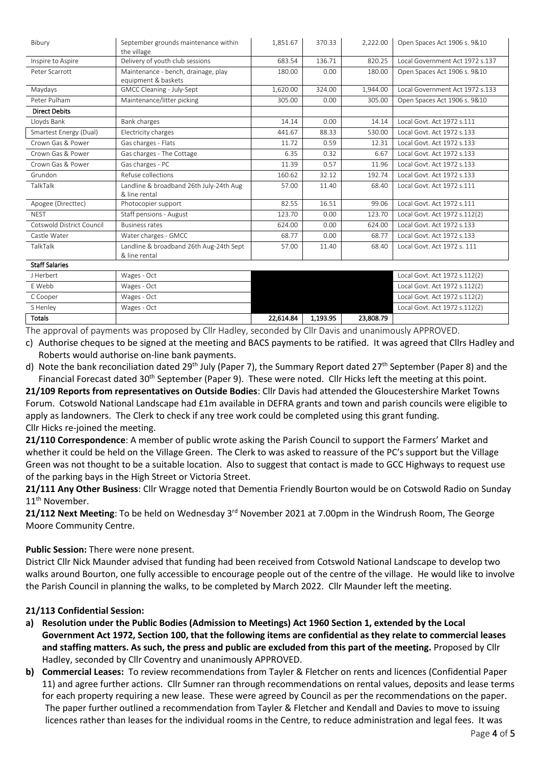| Bibury                    | September grounds maintenance within    | 1,851.67 | 370.33 | 2,222.00 | Open Spaces Act 1906 s. 9&10    |
|---------------------------|-----------------------------------------|----------|--------|----------|---------------------------------|
|                           | the village                             |          |        |          |                                 |
| Inspire to Aspire         | Delivery of youth club sessions         | 683.54   | 136.71 | 820.25   | Local Government Act 1972 s.137 |
| Peter Scarrott            | Maintenance - bench, drainage, play     | 180.00   | 0.00   | 180.00   | Open Spaces Act 1906 s. 9&10    |
|                           | equipment & baskets                     |          |        |          |                                 |
| Maydays                   | GMCC Cleaning - July-Sept               | 1,620.00 | 324.00 | 1,944.00 | Local Government Act 1972 s.133 |
| Peter Pulham              | Maintenance/litter picking              | 305.00   | 0.00   | 305.00   | Open Spaces Act 1906 s. 9&10    |
| <b>Direct Debits</b>      |                                         |          |        |          |                                 |
| Lloyds Bank               | Bank charges                            | 14.14    | 0.00   | 14.14    | Local Govt. Act 1972 s.111      |
| Smartest Energy (Dual)    | Electricity charges                     | 441.67   | 88.33  | 530.00   | Local Govt. Act 1972 s.133      |
| Crown Gas & Power         | Gas charges - Flats                     | 11.72    | 0.59   | 12.31    | Local Govt. Act 1972 s.133      |
| Crown Gas & Power         | Gas charges - The Cottage               | 6.35     | 0.32   | 6.67     | Local Govt. Act 1972 s.133      |
| Crown Gas & Power         | Gas charges - PC                        | 11.39    | 0.57   | 11.96    | Local Govt. Act 1972 s.133      |
| Grundon                   | Refuse collections                      | 160.62   | 32.12  | 192.74   | Local Govt, Act 1972 s.133      |
| TalkTalk                  | Landline & broadband 26th July-24th Aug | 57.00    | 11.40  | 68.40    | Local Govt. Act 1972 s.111      |
|                           | & line rental                           |          |        |          |                                 |
| Apogee (Directtec)        | Photocopier support                     | 82.55    | 16.51  | 99.06    | Local Govt. Act 1972 s.111      |
| <b>NFST</b>               | Staff pensions - August                 | 123.70   | 0.00   | 123.70   | Local Govt. Act 1972 s.112(2)   |
| Cotswold District Council | <b>Business rates</b>                   | 624.00   | 0.00   | 624.00   | Local Govt. Act 1972 s.133      |
| Castle Water              | Water charges - GMCC                    | 68.77    | 0.00   | 68.77    | Local Govt. Act 1972 s.133      |
| TalkTalk                  | Landline & broadband 26th Aug-24th Sept | 57.00    | 11.40  | 68.40    | Local Govt. Act 1972 s. 111     |
|                           | & line rental                           |          |        |          |                                 |
| Chaff Calantas            |                                         |          |        |          |                                 |

| Stan Salaries |             |           |          |           |                               |
|---------------|-------------|-----------|----------|-----------|-------------------------------|
| J Herbert     | Wages - Oct |           |          |           | Local Govt. Act 1972 s.112(2) |
| E Webb        | Wages - Oct |           |          |           | Local Govt. Act 1972 s.112(2) |
| C Cooper      | Wages - Oct |           |          |           | Local Govt. Act 1972 s.112(2) |
| S Henley      | Wages - Oct |           |          |           | Local Govt. Act 1972 s.112(2) |
| <b>Totals</b> |             | 22,614.84 | 1.193.95 | 23,808.79 |                               |

The approval of payments was proposed by Cllr Hadley, seconded by Cllr Davis and unanimously APPROVED.

c) Authorise cheques to be signed at the meeting and BACS payments to be ratified. It was agreed that Cllrs Hadley and Roberts would authorise on-line bank payments.

d) Note the bank reconciliation dated 29<sup>th</sup> July (Paper 7), the Summary Report dated 27<sup>th</sup> September (Paper 8) and the Financial Forecast dated 30<sup>th</sup> September (Paper 9). These were noted. Cllr Hicks left the meeting at this point.

**21/109 Reports from representatives on Outside Bodies**: Cllr Davis had attended the Gloucestershire Market Towns Forum. Cotswold National Landscape had £1m available in DEFRA grants and town and parish councils were eligible to apply as landowners. The Clerk to check if any tree work could be completed using this grant funding. Cllr Hicks re-joined the meeting.

**21/110 Correspondence**: A member of public wrote asking the Parish Council to support the Farmers' Market and whether it could be held on the Village Green. The Clerk to was asked to reassure of the PC's support but the Village Green was not thought to be a suitable location. Also to suggest that contact is made to GCC Highways to request use of the parking bays in the High Street or Victoria Street.

**21/111 Any Other Business**: Cllr Wragge noted that Dementia Friendly Bourton would be on Cotswold Radio on Sunday 11<sup>th</sup> November.

21/112 Next Meeting: To be held on Wednesday 3<sup>rd</sup> November 2021 at 7.00pm in the Windrush Room, The George Moore Community Centre.

# **Public Session:** There were none present.

District Cllr Nick Maunder advised that funding had been received from Cotswold National Landscape to develop two walks around Bourton, one fully accessible to encourage people out of the centre of the village. He would like to involve the Parish Council in planning the walks, to be completed by March 2022. Cllr Maunder left the meeting.

# **21/113 Confidential Session:**

- **a) Resolution under the Public Bodies (Admission to Meetings) Act 1960 Section 1, extended by the Local Government Act 1972, Section 100, that the following items are confidential as they relate to commercial leases and staffing matters. As such, the press and public are excluded from this part of the meeting.** Proposed by Cllr Hadley, seconded by Cllr Coventry and unanimously APPROVED.
- **b) Commercial Leases:** To review recommendations from Tayler & Fletcher on rents and licences (Confidential Paper 11) and agree further actions. Cllr Sumner ran through recommendations on rental values, deposits and lease terms for each property requiring a new lease. These were agreed by Council as per the recommendations on the paper. The paper further outlined a recommendation from Tayler & Fletcher and Kendall and Davies to move to issuing licences rather than leases for the individual rooms in the Centre, to reduce administration and legal fees. It was